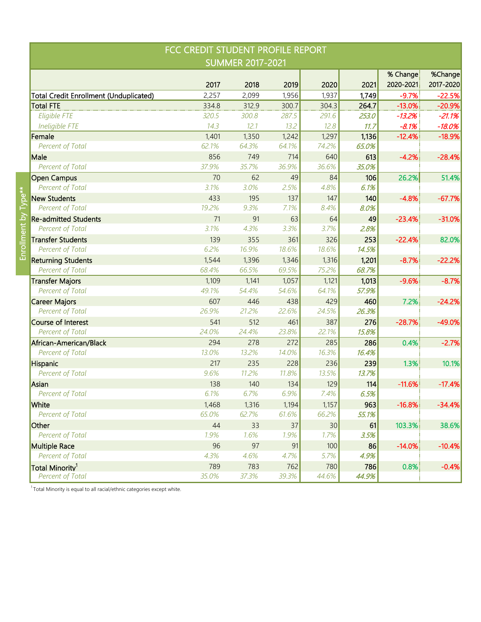| FCC CREDIT STUDENT PROFILE REPORT             |       |       |       |       |       |           |           |  |  |  |
|-----------------------------------------------|-------|-------|-------|-------|-------|-----------|-----------|--|--|--|
| <b>SUMMER 2017-2021</b>                       |       |       |       |       |       |           |           |  |  |  |
|                                               |       |       |       |       |       | % Change  | %Change   |  |  |  |
|                                               | 2017  | 2018  | 2019  | 2020  | 2021  | 2020-2021 | 2017-2020 |  |  |  |
| <b>Total Credit Enrollment (Unduplicated)</b> | 2,257 | 2,099 | 1,956 | 1,937 | 1,749 | $-9.7%$   | $-22.5%$  |  |  |  |
| <b>Total FTE</b>                              | 334.8 | 312.9 | 300.7 | 304.3 | 264.7 | $-13.0%$  | $-20.9%$  |  |  |  |
| Eligible FTE                                  | 320.5 | 300.8 | 287.5 | 291.6 | 253.0 | $-13.2%$  | $-21.1%$  |  |  |  |
| Ineligible FTE                                | 14.3  | 12.1  | 13.2  | 12.8  | 11.7  | $-8.1%$   | $-18.0%$  |  |  |  |
| Female                                        | 1,401 | 1,350 | 1,242 | 1,297 | 1,136 | $-12.4%$  | $-18.9%$  |  |  |  |
| Percent of Total                              | 62.1% | 64.3% | 64.1% | 74.2% | 65.0% |           |           |  |  |  |
| Male                                          | 856   | 749   | 714   | 640   | 613   | $-4.2%$   | $-28.4%$  |  |  |  |
| Percent of Total                              | 37.9% | 35.7% | 36.9% | 36.6% | 35.0% |           |           |  |  |  |
| <b>Open Campus</b>                            | 70    | 62    | 49    | 84    | 106   | 26.2%     | 51.4%     |  |  |  |
| Percent of Total                              | 3.1%  | 3.0%  | 2.5%  | 4.8%  | 6.1%  |           |           |  |  |  |
| <b>New Students</b>                           | 433   | 195   | 137   | 147   | 140   | $-4.8%$   | $-67.7%$  |  |  |  |
| Percent of Total                              | 19.2% | 9.3%  | 7.1%  | 8.4%  | 8.0%  |           |           |  |  |  |
| <b>Re-admitted Students</b>                   | 71    | 91    | 63    | 64    | 49    | $-23.4%$  | $-31.0%$  |  |  |  |
| Percent of Total                              | 3.1%  | 4.3%  | 3.3%  | 3.7%  | 2.8%  |           |           |  |  |  |
| <b>Transfer Students</b>                      | 139   | 355   | 361   | 326   | 253   | $-22.4%$  | 82.0%     |  |  |  |
| Percent of Total                              | 6.2%  | 16.9% | 18.6% | 18.6% | 14.5% |           |           |  |  |  |
| <b>Returning Students</b>                     | 1,544 | 1,396 | 1,346 | 1,316 | 1,201 | $-8.7%$   | $-22.2%$  |  |  |  |
| Percent of Total                              | 68.4% | 66.5% | 69.5% | 75.2% | 68.7% |           |           |  |  |  |
| <b>Transfer Majors</b>                        | 1,109 | 1,141 | 1,057 | 1,121 | 1,013 | $-9.6%$   | $-8.7%$   |  |  |  |
| Percent of Total                              | 49.1% | 54.4% | 54.6% | 64.1% | 57.9% |           |           |  |  |  |
| <b>Career Majors</b>                          | 607   | 446   | 438   | 429   | 460   | 7.2%      | $-24.2%$  |  |  |  |
| Percent of Total                              | 26.9% | 21.2% | 22.6% | 24.5% | 26.3% |           |           |  |  |  |
| <b>Course of Interest</b>                     | 541   | 512   | 461   | 387   | 276   | $-28.7%$  | $-49.0%$  |  |  |  |
| Percent of Total                              | 24.0% | 24.4% | 23.8% | 22.1% | 15.8% |           |           |  |  |  |
| African-American/Black                        | 294   | 278   | 272   | 285   | 286   | 0.4%      | $-2.7%$   |  |  |  |
| Percent of Total                              | 13.0% | 13.2% | 14.0% | 16.3% | 16.4% |           |           |  |  |  |
| Hispanic                                      | 217   | 235   | 228   | 236   | 239   | 1.3%      | 10.1%     |  |  |  |
| Percent of Total                              | 9.6%  | 11.2% | 11.8% | 13.5% | 13.7% |           |           |  |  |  |
| Asian                                         | 138   | 140   | 134   | 129   | 114   | $-11.6%$  | $-17.4%$  |  |  |  |
| Percent of Total                              | 6.1%  | 6.7%  | 6.9%  | 7.4%  | 6.5%  |           |           |  |  |  |
| White                                         | 1,468 | 1,316 | 1,194 | 1,157 | 963   | $-16.8%$  | $-34.4%$  |  |  |  |
| Percent of Total                              | 65.0% | 62.7% | 61.6% | 66.2% | 55.1% |           |           |  |  |  |
| Other                                         | 44    | 33    | 37    | 30    | 61    | 103.3%    | 38.6%     |  |  |  |
| Percent of Total                              | 1.9%  | 1.6%  | 1.9%  | 1.7%  | 3.5%  |           |           |  |  |  |
| <b>Multiple Race</b>                          | 96    | 97    | 91    | 100   | 86    | $-14.0%$  | $-10.4%$  |  |  |  |
| Percent of Total                              | 4.3%  | 4.6%  | 4.7%  | 5.7%  | 4.9%  |           |           |  |  |  |
| Total Minority <sup>1</sup>                   | 789   | 783   | 762   | 780   | 786   | 0.8%      | $-0.4%$   |  |  |  |
| Percent of Total                              | 35.0% | 37.3% | 39.3% | 44.6% | 44.9% |           |           |  |  |  |

 $1$ Total Minority is equal to all racial/ethnic categories except white.